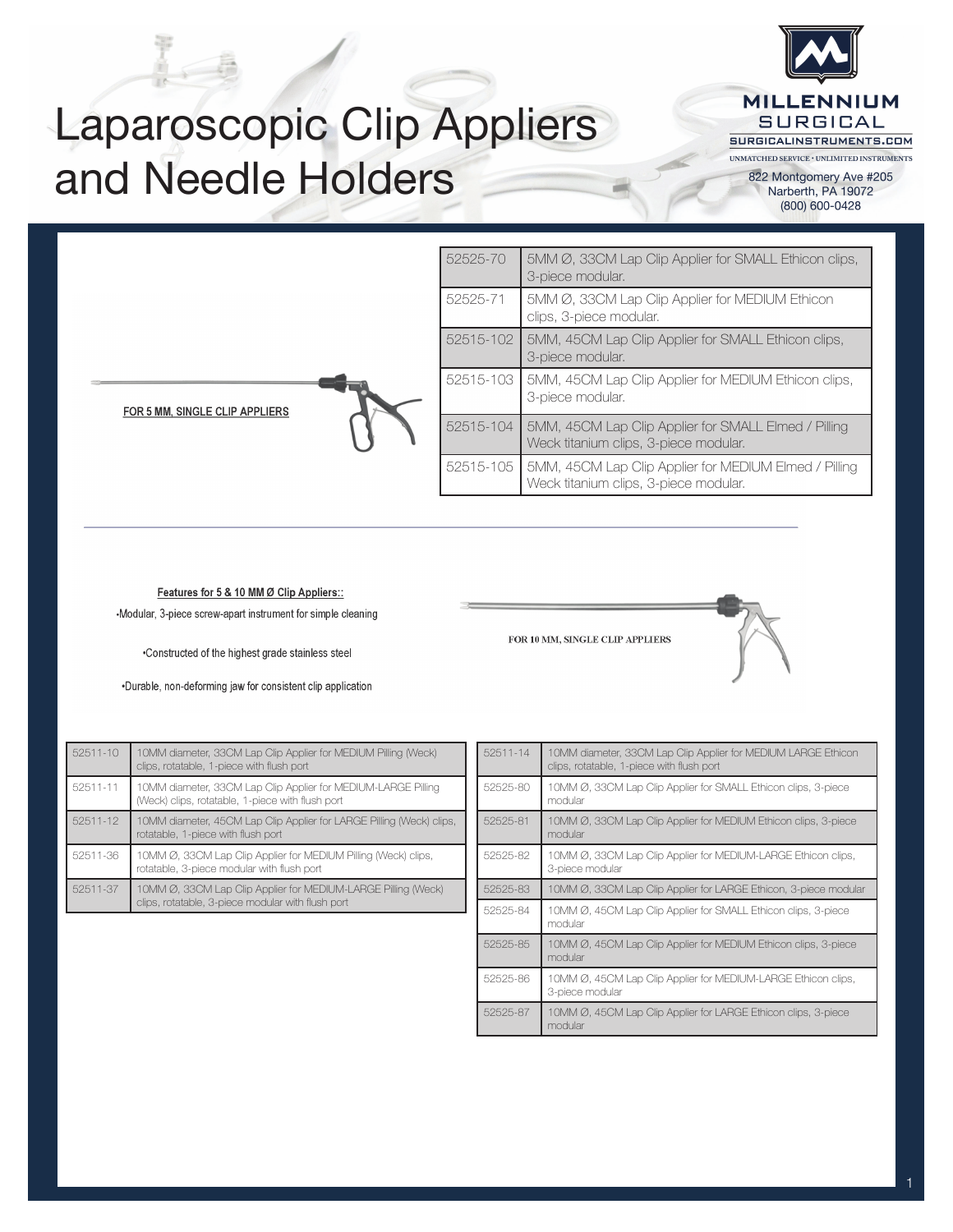

## Laparoscopic Clip Appliers and Needle Holders

822 Montgomery Ave #205 Narberth, PA 19072 (800) 600-0428

|                                | 52525-70  | 5MM Ø, 33CM Lap Clip Applier for SMALL Ethicon clips,<br>3-piece modular.                      |  |  |  |
|--------------------------------|-----------|------------------------------------------------------------------------------------------------|--|--|--|
|                                | 52525-71  | 5MM Ø, 33CM Lap Clip Applier for MEDIUM Ethicon<br>clips, 3-piece modular.                     |  |  |  |
| FOR 5 MM, SINGLE CLIP APPLIERS | 52515-102 | 5MM, 45CM Lap Clip Applier for SMALL Ethicon clips,<br>3-piece modular.                        |  |  |  |
|                                | 52515-103 | 5MM, 45CM Lap Clip Applier for MEDIUM Ethicon clips,<br>3-piece modular.                       |  |  |  |
|                                | 52515-104 | 5MM, 45CM Lap Clip Applier for SMALL Elmed / Pilling<br>Weck titanium clips, 3-piece modular.  |  |  |  |
|                                | 52515-105 | 5MM, 45CM Lap Clip Applier for MEDIUM Elmed / Pilling<br>Weck titanium clips, 3-piece modular. |  |  |  |

Features for 5 & 10 MM Ø Clip Appliers::

-Modular, 3-piece screw-apart instrument for simple cleaning

•Constructed of the highest grade stainless steel

.Durable, non-deforming jaw for consistent clip application

52511-10 10MM diameter, 33CM Lap Clip Applier for MEDIUM Pilling (Weck) clips, rotatable, 1-piece with flush port 52511-11 10MM diameter, 33CM Lap Clip Applier for MEDIUM-LARGE Pilling (Weck) clips, rotatable, 1-piece with flush port 52511-12 10MM diameter, 45CM Lap Clip Applier for LARGE Pilling (Weck) clips, rotatable, 1-piece with flush port 52511-36 10MM Ø, 33CM Lap Clip Applier for MEDIUM Pilling (Weck) clips, rotatable, 3-piece modular with flush port 52511-37 10MM Ø, 33CM Lap Clip Applier for MEDIUM-LARGE Pilling (Weck) clips, rotatable, 3-piece modular with flush port

| 52511-14 | 10MM diameter, 33CM Lap Clip Applier for MEDIUM LARGE Ethicon<br>clips, rotatable, 1-piece with flush port |
|----------|------------------------------------------------------------------------------------------------------------|
| 52525-80 | 10MM Ø, 33CM Lap Clip Applier for SMALL Ethicon clips, 3-piece<br>modular                                  |
| 52525-81 | 10MM Ø, 33CM Lap Clip Applier for MEDIUM Ethicon clips, 3-piece<br>modular                                 |
| 52525-82 | 10MM Ø, 33CM Lap Clip Applier for MEDIUM-LARGE Ethicon clips,<br>3-piece modular                           |
| 52525-83 | 10MM Ø, 33CM Lap Clip Applier for LARGE Ethicon, 3-piece modular                                           |
| 52525-84 | 10MM Ø, 45CM Lap Clip Applier for SMALL Ethicon clips, 3-piece<br>modular                                  |
| 52525-85 | 10MM Ø, 45CM Lap Clip Applier for MEDIUM Ethicon clips, 3-piece<br>modular                                 |
| 52525-86 | 10MM Ø, 45CM Lap Clip Applier for MEDIUM-LARGE Ethicon clips,<br>3-piece modular                           |
| 52525-87 | 10MM Ø, 45CM Lap Clip Applier for LARGE Ethicon clips, 3-piece<br>modular                                  |

FOR 10 MM, SINGLE CLIP APPLIERS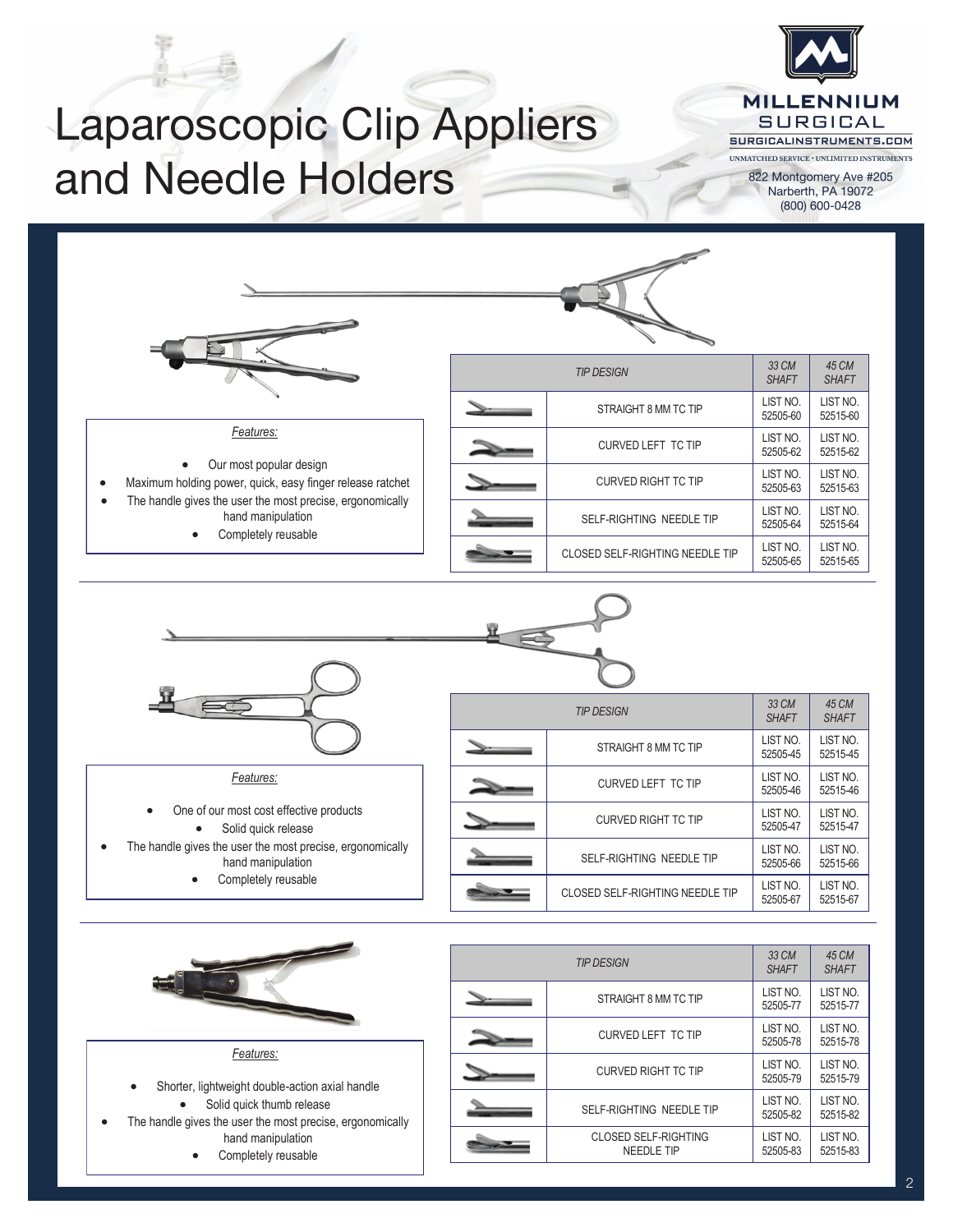

## Laparoscopic Clip Appliers and Needle Holders

UNMATCHED SERVICE  $\cdot$  UNLIMITED INSTRUMENTS 822 Montgomery Ave #205 Narberth, PA 19072 (800) 600-0428



 $W$  Design,  $W$  Design,  $W$  ,  $W$  ,  $W$  and  $\mathcal{W}$  the  $\mathcal{W}$  the Surgeons Users Users Users Users Users Users Users Users Users Users Users Users Users Users Users Users Users Users Users Users Users Users Users User

- *Features:*
- Shorter, lightweight double-action axial handle Solid quick thumb release
- The handle gives the user the most precise, ergonomically hand manipulation
	- Completely reusable

| 111 DEVIOIT |                                                  | <b>SHAFT</b>         | <b>SHAFT</b>         |
|-------------|--------------------------------------------------|----------------------|----------------------|
|             | STRAIGHT 8 MM TC TIP                             | LIST NO.<br>52505-77 | LIST NO.<br>52515-77 |
|             | <b>CURVED LEFT TC TIP</b>                        | LIST NO.<br>52505-78 | LIST NO.<br>52515-78 |
|             | <b>CURVED RIGHT TC TIP</b>                       | LIST NO.<br>52505-79 | LIST NO.<br>52515-79 |
|             | SELF-RIGHTING NEEDLE TIP                         | LIST NO.<br>52505-82 | LIST NO.<br>52515-82 |
|             | <b>CLOSED SELF-RIGHTING</b><br><b>NEEDLE TIP</b> | LIST NO.<br>52505-83 | LIST NO.<br>52515-83 |
|             |                                                  |                      |                      |